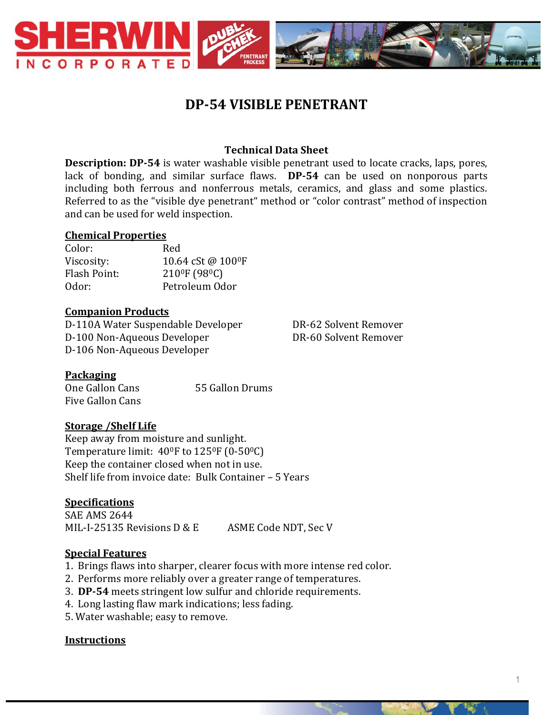

# **DP-54 VISIBLE PENETRANT**

# **Technical Data Sheet**

**Description: DP-54** is water washable visible penetrant used to locate cracks, laps, pores, lack of bonding, and similar surface flaws. **DP-54** can be used on nonporous parts including both ferrous and nonferrous metals, ceramics, and glass and some plastics. Referred to as the "visible dye penetrant" method or "color contrast" method of inspection and can be used for weld inspection.

#### **Chemical Properties**

Color: Red Viscosity:  $10.64 \text{ cSt } \omega 100^\circ \text{F}$ Flash Point: 2100F (980C) Odor: Petroleum Odor

#### **Companion Products**

D-110A Water Suspendable Developer DR-62 Solvent Remover D-100 Non-Aqueous Developer DR-60 Solvent Remover D-106 Non-Aqueous Developer

# **Packaging**

One Gallon Cans 55 Gallon Drums Five Gallon Cans

# **Storage /Shelf Life**

Keep away from moisture and sunlight. Temperature limit: 40<sup>o</sup>F to 125<sup>o</sup>F (0-50<sup>o</sup>C) Keep the container closed when not in use. Shelf life from invoice date: Bulk Container – 5 Years

# **Specifications**

SAE AMS 2644 MIL-I-25135 Revisions D & E ASME Code NDT, Sec V

# **Special Features**

- 1. Brings flaws into sharper, clearer focus with more intense red color.
- 2. Performs more reliably over a greater range of temperatures.
- 3. **DP-54** meets stringent low sulfur and chloride requirements.
- 4. Long lasting flaw mark indications; less fading.
- 5. Water washable; easy to remove.

#### **Instructions**